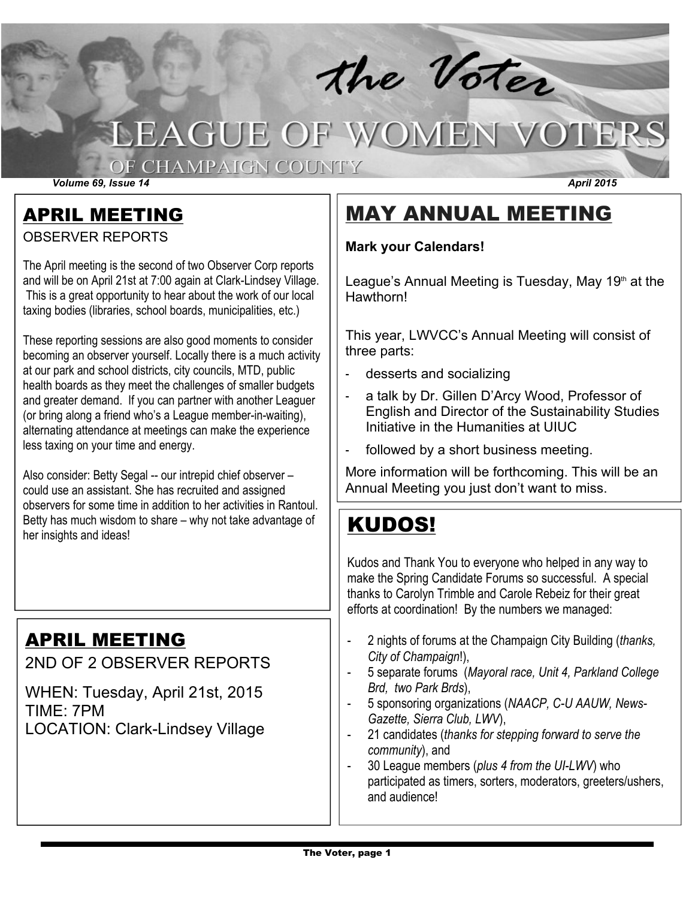# the Voter LEAGUE OF WOMEN VOTERS

## OF CHAMPAIGN COUNTY

*Volume 69, Issue 14 April 2015*

# APRIL MEETING

OBSERVER REPORTS

The April meeting is the second of two Observer Corp reports and will be on April 21st at 7:00 again at Clark-Lindsey Village. This is a great opportunity to hear about the work of our local taxing bodies (libraries, school boards, municipalities, etc.)

These reporting sessions are also good moments to consider becoming an observer yourself. Locally there is a much activity at our park and school districts, city councils, MTD, public health boards as they meet the challenges of smaller budgets and greater demand. If you can partner with another Leaguer (or bring along a friend who's a League member-in-waiting), alternating attendance at meetings can make the experience less taxing on your time and energy.

Also consider: Betty Segal -- our intrepid chief observer – could use an assistant. She has recruited and assigned observers for some time in addition to her activities in Rantoul. Betty has much wisdom to share – why not take advantage of her insights and ideas!

# APRIL MEETING

2ND OF 2 OBSERVER REPORTS

WHEN: Tuesday, April 21st, 2015 TIME: 7PM LOCATION: Clark-Lindsey Village

# MAY ANNUAL MEETING

## **Mark your Calendars!**

League's Annual Meeting is Tuesday, May  $19<sup>th</sup>$  at the Hawthorn!

This year, LWVCC's Annual Meeting will consist of three parts:

- desserts and socializing
- a talk by Dr. Gillen D'Arcy Wood, Professor of English and Director of the Sustainability Studies Initiative in the Humanities at UIUC
- followed by a short business meeting.

More information will be forthcoming. This will be an Annual Meeting you just don't want to miss.

# KUDOS!

Kudos and Thank You to everyone who helped in any way to make the Spring Candidate Forums so successful. A special thanks to Carolyn Trimble and Carole Rebeiz for their great efforts at coordination! By the numbers we managed:

- 2 nights of forums at the Champaign City Building (*thanks, City of Champaign*!),
- 5 separate forums (*Mayoral race, Unit 4, Parkland College Brd, two Park Brds*),
- 5 sponsoring organizations (*NAACP, C-U AAUW, News-Gazette, Sierra Club, LWV*),
- 21 candidates (*thanks for stepping forward to serve the community*), and
- 30 League members (*plus 4 from the UI-LWV*) who participated as timers, sorters, moderators, greeters/ushers, and audience!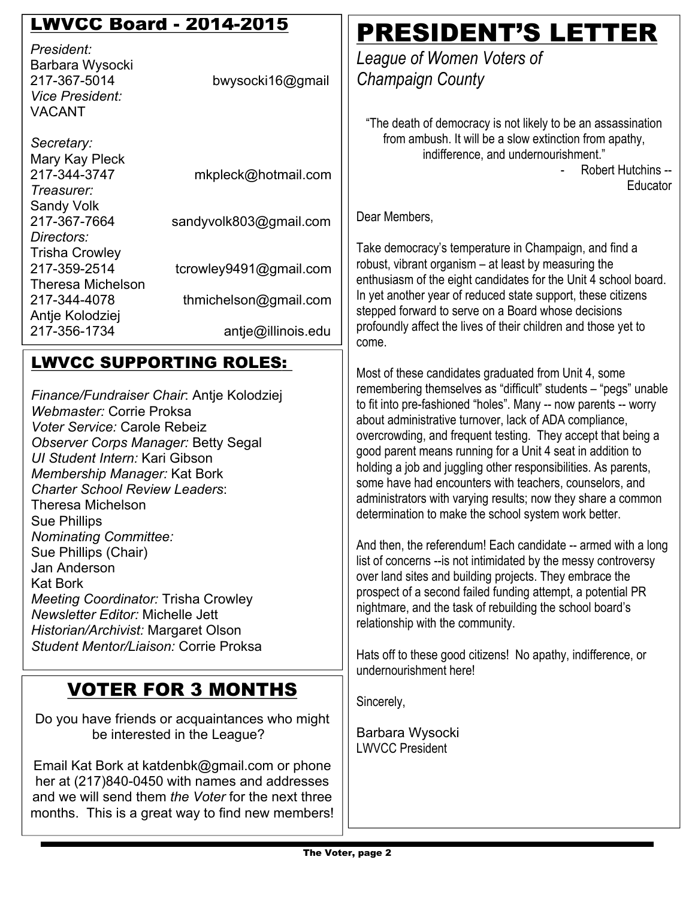|                               | <b>LWVCC Board - 2014-2015</b> | <b>PRESIDENT'S LETTER</b>                                                                      |
|-------------------------------|--------------------------------|------------------------------------------------------------------------------------------------|
| President:<br>Barbara Wysocki |                                | League of Women Voters of                                                                      |
| 217-367-5014                  | bwysocki16@gmail               | <b>Champaign County</b>                                                                        |
| <b>Vice President:</b>        |                                |                                                                                                |
| <b>VACANT</b>                 |                                | "The death of democracy is not likely to be an assassination                                   |
| Secretary:                    |                                | from ambush. It will be a slow extinction from apathy,<br>indifference, and undernourishment." |
| Mary Kay Pleck                |                                |                                                                                                |
| 217-344-3747                  | mkpleck@hotmail.com            | Robert Hutchins --                                                                             |
| Treasurer:                    |                                | Educator                                                                                       |
| Sandy Volk                    |                                |                                                                                                |
| 217-367-7664                  | sandyvolk803@gmail.com         | Dear Members,                                                                                  |
| Directors:                    |                                |                                                                                                |
| <b>Trisha Crowley</b>         |                                | Take democracy's temperature in Champaign, and find a                                          |
| 217-359-2514                  | tcrowley9491@gmail.com         | robust, vibrant organism – at least by measuring the                                           |
| <b>Theresa Michelson</b>      |                                | enthusiasm of the eight candidates for the Unit 4 school board.                                |
| 217-344-4078                  | thmichelson@gmail.com          | In yet another year of reduced state support, these citizens                                   |
| Antje Kolodziej               |                                | stepped forward to serve on a Board whose decisions                                            |
| 217-356-1734                  | antje@illinois.edu             | profoundly affect the lives of their children and those yet to<br>come.                        |
|                               |                                |                                                                                                |
|                               | <b>LWVCC SUPPORTING ROLES:</b> | Most of these candidates graduated from Unit 4, some                                           |

*Finance/Fundraiser Chair*: Antje Kolodziej

*Observer Corps Manager:* Betty Segal

*Meeting Coordinator:* Trisha Crowley

VOTER FOR 3 MONTHS

Do you have friends or acquaintances who might be interested in the League?

Email Kat Bork at katdenbk@gmail.com or phone her at  $(217)840-0450$  with names and addresses and we will send them *the Voter* for the next three months. This is a great way to find new members!

*Newsletter Editor:* Michelle Jett *Historian/Archivist:* Margaret Olson *Student Mentor/Liaison:* Corrie Proksa

*Webmaster:* Corrie Proksa *Voter Service:* Carole Rebeiz

Theresa Michelson

*Nominating Committee:* Sue Phillips (Chair) Jan Anderson Kat Bork

Sue Phillips

*UI Student Intern:* Kari Gibson *Membership Manager:* Kat Bork *Charter School Review Leaders*:

remembering themselves as "difficult" students – "pegs" unable to fit into pre-fashioned "holes". Many -- now parents -- worry about administrative turnover, lack of ADA compliance,

overcrowding, and frequent testing. They accept that being a good parent means running for a Unit 4 seat in addition to holding a job and juggling other responsibilities. As parents, some have had encounters with teachers, counselors, and administrators with varying results; now they share a common

And then, the referendum! Each candidate -- armed with a long list of concerns --is not intimidated by the messy controversy over land sites and building projects. They embrace the prospect of a second failed funding attempt, a potential PR nightmare, and the task of rebuilding the school board's

Hats off to these good citizens! No apathy, indifference, or

determination to make the school system work better.

relationship with the community.

undernourishment here!

Barbara Wysocki LWVCC President

Sincerely,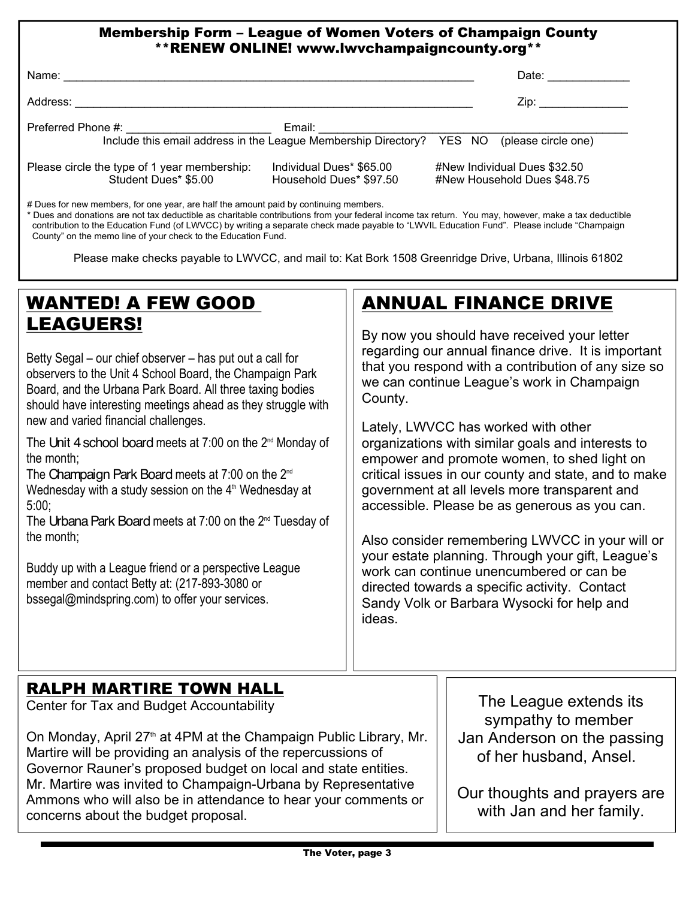## Membership Form – League of Women Voters of Champaign County \*\*RENEW ONLINE! www.lwvchampaigncounty.org\*\*

| Name:                                                                                                                                                                                                                                                                                                                      |                                                     |  |  | Date:                                                       |  |  |
|----------------------------------------------------------------------------------------------------------------------------------------------------------------------------------------------------------------------------------------------------------------------------------------------------------------------------|-----------------------------------------------------|--|--|-------------------------------------------------------------|--|--|
|                                                                                                                                                                                                                                                                                                                            |                                                     |  |  | $\mathsf{Zip:}\ \_\_\_\_\_\_\_\_\_\_\_\_\_\_\_\_\_\_\_\_\_$ |  |  |
| Preferred Phone #: Network and the set of the set of the set of the set of the set of the set of the set of the set of the set of the set of the set of the set of the set of the set of the set of the set of the set of the<br>Include this email address in the League Membership Directory? YES NO (please circle one) | Email: <u>__________________________________</u>    |  |  |                                                             |  |  |
| Please circle the type of 1 year membership:<br>Student Dues* \$5.00                                                                                                                                                                                                                                                       | Individual Dues* \$65.00<br>Household Dues* \$97.50 |  |  | #New Individual Dues \$32.50<br>#New Household Dues \$48.75 |  |  |

# Dues for new members, for one year, are half the amount paid by continuing members.

\* Dues and donations are not tax deductible as charitable contributions from your federal income tax return. You may, however, make a tax deductible contribution to the Education Fund (of LWVCC) by writing a separate check made payable to "LWVIL Education Fund". Please include "Champaign County" on the memo line of your check to the Education Fund.

Please make checks payable to LWVCC, and mail to: Kat Bork 1508 Greenridge Drive, Urbana, Illinois 61802

## WANTED! A FEW GOOD LEAGUERS!

Betty Segal – our chief observer – has put out a call for observers to the Unit 4 School Board, the Champaign Park Board, and the Urbana Park Board. All three taxing bodies should have interesting meetings ahead as they struggle with new and varied financial challenges.

The Unit 4 school board meets at 7:00 on the  $2<sup>nd</sup>$  Monday of the month;

The Champaign Park Board meets at 7:00 on the 2<sup>nd</sup> Wednesday with a study session on the  $4<sup>th</sup>$  Wednesday at 5:00;

The Urbana Park Board meets at 7:00 on the 2<sup>nd</sup> Tuesday of the month;

Buddy up with a League friend or a perspective League member and contact Betty at: (217-893-3080 or bssegal@mindspring.com) to offer your services.

# ANNUAL FINANCE DRIVE

By now you should have received your letter regarding our annual finance drive. It is important that you respond with a contribution of any size so we can continue League's work in Champaign County.

Lately, LWVCC has worked with other organizations with similar goals and interests to empower and promote women, to shed light on critical issues in our county and state, and to make government at all levels more transparent and accessible. Please be as generous as you can.

Also consider remembering LWVCC in your will or your estate planning. Through your gift, League's work can continue unencumbered or can be directed towards a specific activity. Contact Sandy Volk or Barbara Wysocki for help and ideas.

## RALPH MARTIRE TOWN HALL

Center for Tax and Budget Accountability

On Monday, April 27<sup>th</sup> at 4PM at the Champaign Public Library, Mr. Martire will be providing an analysis of the repercussions of Governor Rauner's proposed budget on local and state entities. Mr. Martire was invited to Champaign-Urbana by Representative Ammons who will also be in attendance to hear your comments or concerns about the budget proposal.

The League extends its sympathy to member Jan Anderson on the passing of her husband, Ansel.

Our thoughts and prayers are with Jan and her family.